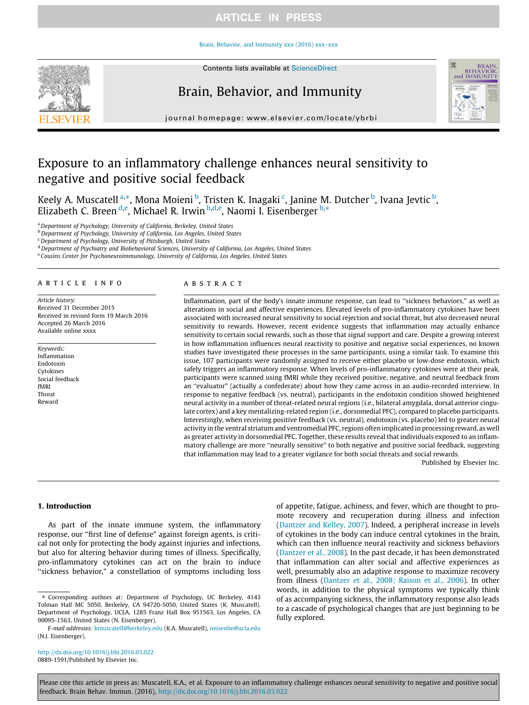# **ARTICLE IN PRESS**

Brain, Behavior, and Immunity xxx (2016) xxx–xxx



# Brain, Behavior, and Immunity



journal homepage: www.elsevier.com/locate/ybrbi

# Exposure to an inflammatory challenge enhances neural sensitivity to negative and positive social feedback

Keely A. Muscatell <sup>a,\*</sup>, Mona Moieni <sup>b</sup>, Tristen K. Inagaki <sup>c</sup>, Janine M. Dutcher <sup>b</sup>, Ivana Jevtic <sup>b</sup>, Elizabeth C. Breen <sup>d,e</sup>, Michael R. Irwin <sup>b,d,e</sup>, Naomi I. Eisenberger <sup>b,\*</sup>

<sup>a</sup> Department of Psychology, University of California, Berkeley, United States

**b** Department of Psychology, University of California, Los Angeles, United States

<sup>c</sup>Department of Psychology, University of Pittsburgh, United States

<sup>d</sup> Department of Psychiatry and Biobehavioral Sciences, University of California, Los Angeles, United States

e Cousins Center for Psychoneuroimmunology, University of California, Los Angeles, United States

#### article info

Article history: Received 31 December 2015 Received in revised form 19 March 2016 Accepted 26 March 2016 Available online xxxx

Keywords: Inflammation Endotoxin Cytokines Social feedback fMRI Threat Reward

### ABSTRACT

Inflammation, part of the body's innate immune response, can lead to ''sickness behaviors," as well as alterations in social and affective experiences. Elevated levels of pro-inflammatory cytokines have been associated with increased neural sensitivity to social rejection and social threat, but also decreased neural sensitivity to rewards. However, recent evidence suggests that inflammation may actually enhance sensitivity to certain social rewards, such as those that signal support and care. Despite a growing interest in how inflammation influences neural reactivity to positive and negative social experiences, no known studies have investigated these processes in the same participants, using a similar task. To examine this issue, 107 participants were randomly assigned to receive either placebo or low-dose endotoxin, which safely triggers an inflammatory response. When levels of pro-inflammatory cytokines were at their peak, participants were scanned using fMRI while they received positive, negative, and neutral feedback from an ''evaluator" (actually a confederate) about how they came across in an audio-recorded interview. In response to negative feedback (vs. neutral), participants in the endotoxin condition showed heightened neural activity in a number of threat-related neural regions (i.e., bilateral amygdala, dorsal anterior cingulate cortex) and a key mentalizing-related region (i.e., dorsomedial PFC), compared to placebo participants. Interestingly, when receiving positive feedback (vs. neutral), endotoxin (vs. placebo) led to greater neural activity in the ventral striatum and ventromedial PFC, regions often implicated in processing reward, as well as greater activity in dorsomedial PFC. Together, these results reveal that individuals exposed to an inflammatory challenge are more ''neurally sensitive" to both negative and positive social feedback, suggesting that inflammation may lead to a greater vigilance for both social threats and social rewards.

Published by Elsevier Inc.

# 1. Introduction

As part of the innate immune system, the inflammatory response, our "first line of defense" against foreign agents, is critical not only for protecting the body against injuries and infections, but also for altering behavior during times of illness. Specifically, pro-inflammatory cytokines can act on the brain to induce "sickness behavior," a constellation of symptoms including loss

http://dx.doi.org/10.1016/j.bbi.2016.03.022 0889-1591/Published by Elsevier Inc.

of appetite, fatigue, achiness, and fever, which are thought to promote recovery and recuperation during illness and infection (Dantzer and Kelley, 2007). Indeed, a peripheral increase in levels of cytokines in the body can induce central cytokines in the brain, which can then influence neural reactivity and sickness behaviors (Dantzer et al., 2008). In the past decade, it has been demonstrated that inflammation can alter social and affective experiences as well, presumably also an adaptive response to maximize recovery from illness (Dantzer et al., 2008; Raison et al., 2006). In other words, in addition to the physical symptoms we typically think of as accompanying sickness, the inflammatory response also leads to a cascade of psychological changes that are just beginning to be fully explored.

<sup>⇑</sup> Corresponding authors at: Department of Psychology, UC Berkeley, 4143 Tolman Hall MC 5050, Berkeley, CA 94720-5050, United States (K. Muscatell). Department of Psychology, UCLA, 1285 Franz Hall Box 951563, Los Angeles, CA 90095-1563, United States (N. Eisenberger).

E-mail addresses: kmuscatell@berkeley.edu (K.A. Muscatell), neisenbe@ucla.edu (N.I. Eisenberger).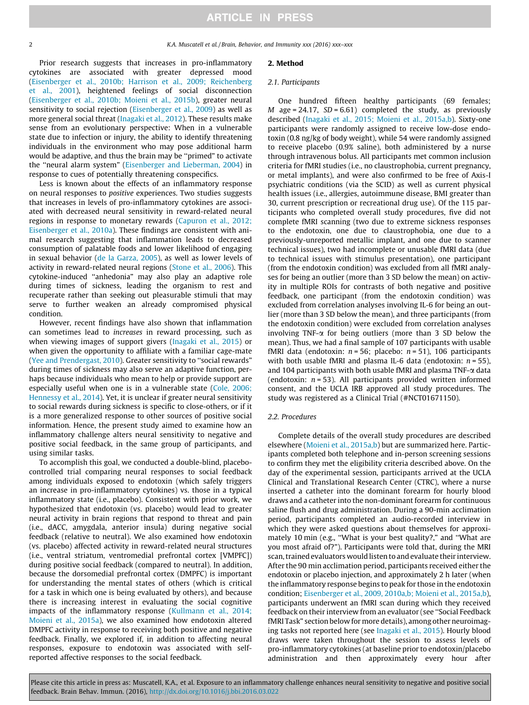Prior research suggests that increases in pro-inflammatory cytokines are associated with greater depressed mood (Eisenberger et al., 2010b; Harrison et al., 2009; Reichenberg et al., 2001), heightened feelings of social disconnection (Eisenberger et al., 2010b; Moieni et al., 2015b), greater neural sensitivity to social rejection (Eisenberger et al., 2009) as well as more general social threat (Inagaki et al., 2012). These results make sense from an evolutionary perspective: When in a vulnerable state due to infection or injury, the ability to identify threatening individuals in the environment who may pose additional harm would be adaptive, and thus the brain may be ''primed" to activate the ''neural alarm system" (Eisenberger and Lieberman, 2004) in response to cues of potentially threatening conspecifics.

Less is known about the effects of an inflammatory response on neural responses to positive experiences. Two studies suggests that increases in levels of pro-inflammatory cytokines are associated with decreased neural sensitivity in reward-related neural regions in response to monetary rewards (Capuron et al., 2012; Eisenberger et al., 2010a). These findings are consistent with animal research suggesting that inflammation leads to decreased consumption of palatable foods and lower likelihood of engaging in sexual behavior (de la Garza, 2005), as well as lower levels of activity in reward-related neural regions (Stone et al., 2006). This cytokine-induced ''anhedonia" may also play an adaptive role during times of sickness, leading the organism to rest and recuperate rather than seeking out pleasurable stimuli that may serve to further weaken an already compromised physical condition.

However, recent findings have also shown that inflammation can sometimes lead to increases in reward processing, such as when viewing images of support givers (Inagaki et al., 2015) or when given the opportunity to affiliate with a familiar cage-mate (Yee and Prendergast, 2010). Greater sensitivity to ''social rewards" during times of sickness may also serve an adaptive function, perhaps because individuals who mean to help or provide support are especially useful when one is in a vulnerable state (Cole, 2006; Hennessy et al., 2014). Yet, it is unclear if greater neural sensitivity to social rewards during sickness is specific to close-others, or if it is a more generalized response to other sources of positive social information. Hence, the present study aimed to examine how an inflammatory challenge alters neural sensitivity to negative and positive social feedback, in the same group of participants, and using similar tasks.

To accomplish this goal, we conducted a double-blind, placebocontrolled trial comparing neural responses to social feedback among individuals exposed to endotoxin (which safely triggers an increase in pro-inflammatory cytokines) vs. those in a typical inflammatory state (i.e., placebo). Consistent with prior work, we hypothesized that endotoxin (vs. placebo) would lead to greater neural activity in brain regions that respond to threat and pain (i.e., dACC, amygdala, anterior insula) during negative social feedback (relative to neutral). We also examined how endotoxin (vs. placebo) affected activity in reward-related neural structures (i.e., ventral striatum, ventromedial prefrontal cortex [VMPFC]) during positive social feedback (compared to neutral). In addition, because the dorsomedial prefrontal cortex (DMPFC) is important for understanding the mental states of others (which is critical for a task in which one is being evaluated by others), and because there is increasing interest in evaluating the social cognitive impacts of the inflammatory response (Kullmann et al., 2014; Moieni et al., 2015a), we also examined how endotoxin altered DMPFC activity in response to receiving both positive and negative feedback. Finally, we explored if, in addition to affecting neural responses, exposure to endotoxin was associated with selfreported affective responses to the social feedback.

# 2. Method

#### 2.1. Participants

One hundred fifteen healthy participants (69 females; M age = 24.17,  $SD = 6.61$ ) completed the study, as previously described (Inagaki et al., 2015; Moieni et al., 2015a,b). Sixty-one participants were randomly assigned to receive low-dose endotoxin (0.8 ng/kg of body weight), while 54 were randomly assigned to receive placebo (0.9% saline), both administered by a nurse through intravenous bolus. All participants met common inclusion criteria for fMRI studies (i.e., no claustrophobia, current pregnancy, or metal implants), and were also confirmed to be free of Axis-I psychiatric conditions (via the SCID) as well as current physical health issues (i.e., allergies, autoimmune disease, BMI greater than 30, current prescription or recreational drug use). Of the 115 participants who completed overall study procedures, five did not complete fMRI scanning (two due to extreme sickness responses to the endotoxin, one due to claustrophobia, one due to a previously-unreported metallic implant, and one due to scanner technical issues), two had incomplete or unusable fMRI data (due to technical issues with stimulus presentation), one participant (from the endotoxin condition) was excluded from all fMRI analyses for being an outlier (more than 3 SD below the mean) on activity in multiple ROIs for contrasts of both negative and positive feedback, one participant (from the endotoxin condition) was excluded from correlation analyses involving IL-6 for being an outlier (more than 3 SD below the mean), and three participants (from the endotoxin condition) were excluded from correlation analyses involving TNF- $\alpha$  for being outliers (more than 3 SD below the mean). Thus, we had a final sample of 107 participants with usable fMRI data (endotoxin:  $n = 56$ ; placebo:  $n = 51$ ), 106 participants with both usable fMRI and plasma IL-6 data (endotoxin:  $n = 55$ ), and 104 participants with both usable fMRI and plasma TNF- $\alpha$  data (endotoxin:  $n = 53$ ). All participants provided written informed consent, and the UCLA IRB approved all study procedures. The study was registered as a Clinical Trial (#NCT01671150).

# 2.2. Procedures

Complete details of the overall study procedures are described elsewhere (Moieni et al., 2015a,b) but are summarized here. Participants completed both telephone and in-person screening sessions to confirm they met the eligibility criteria described above. On the day of the experimental session, participants arrived at the UCLA Clinical and Translational Research Center (CTRC), where a nurse inserted a catheter into the dominant forearm for hourly blood draws and a catheter into the non-dominant forearm for continuous saline flush and drug administration. During a 90-min acclimation period, participants completed an audio-recorded interview in which they were asked questions about themselves for approximately 10 min (e.g., ''What is your best quality?," and ''What are you most afraid of?"). Participants were told that, during the MRI scan, trained evaluators would listen to and evaluate their interview. After the 90 min acclimation period, participants received either the endotoxin or placebo injection, and approximately 2 h later (when the inflammatory response begins to peak for those in the endotoxin condition; Eisenberger et al., 2009, 2010a,b; Moieni et al., 2015a,b), participants underwent an fMRI scan during which they received feedback on their interview from an evaluator (see ''Social Feedback fMRI Task" section below for more details), among other neuroimaging tasks not reported here (see Inagaki et al., 2015). Hourly blood draws were taken throughout the session to assess levels of pro-inflammatory cytokines (at baseline prior to endotoxin/placebo administration and then approximately every hour after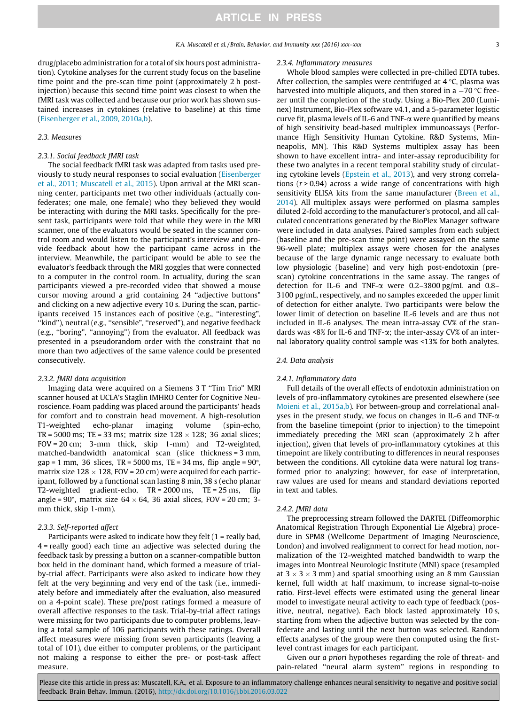drug/placebo administration for a total of six hours post administration). Cytokine analyses for the current study focus on the baseline time point and the pre-scan time point (approximately 2 h postinjection) because this second time point was closest to when the fMRI task was collected and because our prior work has shown sustained increases in cytokines (relative to baseline) at this time (Eisenberger et al., 2009, 2010a,b).

#### 2.3. Measures

#### 2.3.1. Social feedback fMRI task

The social feedback fMRI task was adapted from tasks used previously to study neural responses to social evaluation (Eisenberger et al., 2011; Muscatell et al., 2015). Upon arrival at the MRI scanning center, participants met two other individuals (actually confederates; one male, one female) who they believed they would be interacting with during the MRI tasks. Specifically for the present task, participants were told that while they were in the MRI scanner, one of the evaluators would be seated in the scanner control room and would listen to the participant's interview and provide feedback about how the participant came across in the interview. Meanwhile, the participant would be able to see the evaluator's feedback through the MRI goggles that were connected to a computer in the control room. In actuality, during the scan participants viewed a pre-recorded video that showed a mouse cursor moving around a grid containing 24 ''adjective buttons" and clicking on a new adjective every 10 s. During the scan, participants received 15 instances each of positive (e.g., "interesting", "kind"), neutral (e.g., "sensible", "reserved"), and negative feedback (e.g., ''boring", ''annoying") from the evaluator. All feedback was presented in a pseudorandom order with the constraint that no more than two adjectives of the same valence could be presented consecutively.

#### 2.3.2. fMRI data acquisition

Imaging data were acquired on a Siemens 3 T ''Tim Trio" MRI scanner housed at UCLA's Staglin IMHRO Center for Cognitive Neuroscience. Foam padding was placed around the participants' heads for comfort and to constrain head movement. A high-resolution T1-weighted echo-planar imaging volume (spin-echo, TR = 5000 ms; TE = 33 ms; matrix size  $128 \times 128$ ; 36 axial slices; FOV = 20 cm; 3-mm thick, skip 1-mm) and T2-weighted, matched-bandwidth anatomical scan (slice thickness = 3 mm, gap = 1 mm, 36 slices,  $TR = 5000$  ms,  $TE = 34$  ms, flip angle = 90 $^{\circ}$ , matrix size  $128 \times 128$ , FOV = 20 cm) were acquired for each participant, followed by a functional scan lasting 8 min, 38 s (echo planar T2-weighted gradient-echo, TR = 2000 ms, TE = 25 ms, flip angle =  $90^{\circ}$ , matrix size  $64 \times 64$ , 36 axial slices, FOV = 20 cm; 3mm thick, skip 1-mm).

#### 2.3.3. Self-reported affect

Participants were asked to indicate how they felt (1 = really bad, 4 = really good) each time an adjective was selected during the feedback task by pressing a button on a scanner-compatible button box held in the dominant hand, which formed a measure of trialby-trial affect. Participants were also asked to indicate how they felt at the very beginning and very end of the task (i.e., immediately before and immediately after the evaluation, also measured on a 4-point scale). These pre/post ratings formed a measure of overall affective responses to the task. Trial-by-trial affect ratings were missing for two participants due to computer problems, leaving a total sample of 106 participants with these ratings. Overall affect measures were missing from seven participants (leaving a total of 101), due either to computer problems, or the participant not making a response to either the pre- or post-task affect measure.

#### 2.3.4. Inflammatory measures

Whole blood samples were collected in pre-chilled EDTA tubes. After collection, the samples were centrifuged at  $4^{\circ}$ C, plasma was harvested into multiple aliquots, and then stored in a  $-70$  °C freezer until the completion of the study. Using a Bio-Plex 200 (Luminex) Instrument, Bio-Plex software v4.1, and a 5-parameter logistic curve fit, plasma levels of IL-6 and TNF- $\alpha$  were quantified by means of high sensitivity bead-based multiplex immunoassays (Performance High Sensitivity Human Cytokine, R&D Systems, Minneapolis, MN). This R&D Systems multiplex assay has been shown to have excellent intra- and inter-assay reproducibility for these two analytes in a recent temporal stability study of circulating cytokine levels (Epstein et al., 2013), and very strong correlations ( $r > 0.94$ ) across a wide range of concentrations with high sensitivity ELISA kits from the same manufacturer (Breen et al., 2014). All multiplex assays were performed on plasma samples diluted 2-fold according to the manufacturer's protocol, and all calculated concentrations generated by the BioPlex Manager software were included in data analyses. Paired samples from each subject (baseline and the pre-scan time point) were assayed on the same 96-well plate; multiplex assays were chosen for the analyses because of the large dynamic range necessary to evaluate both low physiologic (baseline) and very high post-endotoxin (prescan) cytokine concentrations in the same assay. The ranges of detection for IL-6 and TNF- $\alpha$  were 0.2–3800 pg/mL and 0.8– 3100 pg/mL, respectively, and no samples exceeded the upper limit of detection for either analyte. Two participants were below the lower limit of detection on baseline IL-6 levels and are thus not included in IL-6 analyses. The mean intra-assay CV% of the standards was <8% for IL-6 and TNF- $\alpha$ ; the inter-assay CV% of an internal laboratory quality control sample was <13% for both analytes.

#### 2.4. Data analysis

## 2.4.1. Inflammatory data

Full details of the overall effects of endotoxin administration on levels of pro-inflammatory cytokines are presented elsewhere (see Moieni et al., 2015a,b). For between-group and correlational analyses in the present study, we focus on changes in IL-6 and TNF- $\alpha$ from the baseline timepoint (prior to injection) to the timepoint immediately preceding the MRI scan (approximately 2 h after injection), given that levels of pro-inflammatory cytokines at this timepoint are likely contributing to differences in neural responses between the conditions. All cytokine data were natural log transformed prior to analyzing; however, for ease of interpretation, raw values are used for means and standard deviations reported in text and tables.

#### 2.4.2. fMRI data

The preprocessing stream followed the DARTEL (Diffeomorphic Anatomical Registration Through Exponential Lie Algebra) procedure in SPM8 (Wellcome Department of Imaging Neuroscience, London) and involved realignment to correct for head motion, normalization of the T2-weighted matched bandwidth to warp the images into Montreal Neurologic Institute (MNI) space (resampled at  $3 \times 3 \times 3$  mm) and spatial smoothing using an 8 mm Gaussian kernel, full width at half maximum, to increase signal-to-noise ratio. First-level effects were estimated using the general linear model to investigate neural activity to each type of feedback (positive, neutral, negative). Each block lasted approximately 10 s, starting from when the adjective button was selected by the confederate and lasting until the next button was selected. Random effects analyses of the group were then computed using the firstlevel contrast images for each participant.

Given our a priori hypotheses regarding the role of threat- and pain-related ''neural alarm system" regions in responding to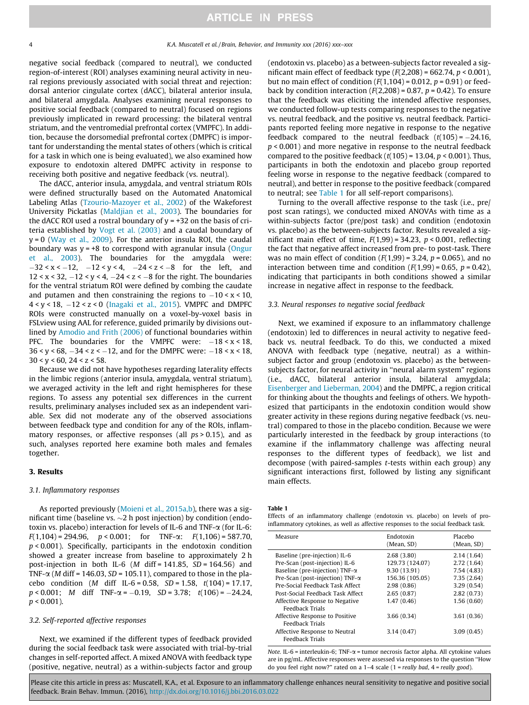# **ARTICLE IN PRESS**

negative social feedback (compared to neutral), we conducted region-of-interest (ROI) analyses examining neural activity in neural regions previously associated with social threat and rejection: dorsal anterior cingulate cortex (dACC), bilateral anterior insula, and bilateral amygdala. Analyses examining neural responses to positive social feedback (compared to neutral) focused on regions previously implicated in reward processing: the bilateral ventral striatum, and the ventromedial prefrontal cortex (VMPFC). In addition, because the dorsomedial prefrontal cortex (DMPFC) is important for understanding the mental states of others (which is critical for a task in which one is being evaluated), we also examined how exposure to endotoxin altered DMPFC activity in response to receiving both positive and negative feedback (vs. neutral).

The dACC, anterior insula, amygdala, and ventral striatum ROIs were defined structurally based on the Automated Anatomical Labeling Atlas (Tzourio-Mazoyer et al., 2002) of the Wakeforest University Pickatlas (Maldjian et al., 2003). The boundaries for the dACC ROI used a rostral boundary of  $y = +32$  on the basis of criteria established by Vogt et al. (2003) and a caudal boundary of  $y = 0$  (Way et al., 2009). For the anterior insula ROI, the caudal boundary was  $y = +8$  to correspond with agranular insula (Ongur et al., 2003). The boundaries for the amygdala were:  $-32 < x < -12$ ,  $-12 < y < 4$ ,  $-24 < z < -8$  for the left, and  $12 < x < 32$ ,  $-12 < y < 4$ ,  $-24 < z < -8$  for the right. The boundaries for the ventral striatum ROI were defined by combing the caudate and putamen and then constraining the regions to  $-10 < x < 10$ ,  $4 < y < 18$ ,  $-12 < z < 0$  (Inagaki et al., 2015). VMPFC and DMPFC ROIs were constructed manually on a voxel-by-voxel basis in FSLview using AAL for reference, guided primarily by divisions outlined by Amodio and Frith (2006) of functional boundaries within PFC. The boundaries for the VMPFC were:  $-18 < x < 18$ ,  $36 < y < 68$ ,  $-34 < z < -12$ , and for the DMPFC were:  $-18 < x < 18$ ,  $30 < y < 60$ ,  $24 < z < 58$ .

Because we did not have hypotheses regarding laterality effects in the limbic regions (anterior insula, amygdala, ventral striatum), we averaged activity in the left and right hemispheres for these regions. To assess any potential sex differences in the current results, preliminary analyses included sex as an independent variable. Sex did not moderate any of the observed associations between feedback type and condition for any of the ROIs, inflammatory responses, or affective responses (all  $ps > 0.15$ ), and as such, analyses reported here examine both males and females together.

#### 3. Results

#### 3.1. Inflammatory responses

As reported previously (Moieni et al., 2015a,b), there was a significant time (baseline vs.  $\sim$ 2 h post injection) by condition (endotoxin vs. placebo) interaction for levels of IL-6 and TNF- $\alpha$  (for IL-6:  $F(1,104) = 294.96$ ,  $p < 0.001$ ; for TNF- $\alpha$ :  $F(1,106) = 587.70$ ,  $p$  < 0.001). Specifically, participants in the endotoxin condition showed a greater increase from baseline to approximately 2 h post-injection in both IL-6 ( $M$  diff = 141.85,  $SD = 164.56$ ) and TNF- $\alpha$  (*M* diff = 146.03, *SD* = 105.11), compared to those in the placebo condition (*M* diff IL-6 = 0.58, *SD* = 1.58,  $t(104) = 17.17$ ,  $p < 0.001$ ; M diff TNF- $\alpha = -0.19$ , SD = 3.78;  $t(106) = -24.24$ ,  $p < 0.001$ ).

#### 3.2. Self-reported affective responses

Next, we examined if the different types of feedback provided during the social feedback task were associated with trial-by-trial changes in self-reported affect. A mixed ANOVA with feedback type (positive, negative, neutral) as a within-subjects factor and group (endotoxin vs. placebo) as a between-subjects factor revealed a significant main effect of feedback type  $(F(2.208) = 662.74, p < 0.001)$ . but no main effect of condition  $(F(1.104) = 0.012, p = 0.91)$  or feedback by condition interaction  $(F(2,208) = 0.87, p = 0.42)$ . To ensure that the feedback was eliciting the intended affective responses, we conducted follow-up tests comparing responses to the negative vs. neutral feedback, and the positive vs. neutral feedback. Participants reported feeling more negative in response to the negative feedback compared to the neutral feedback  $(t(105) = -24.16$ ,  $p$  < 0.001) and more negative in response to the neutral feedback compared to the positive feedback  $(t(105) = 13.04, p < 0.001)$ . Thus, participants in both the endotoxin and placebo group reported feeling worse in response to the negative feedback (compared to neutral), and better in response to the positive feedback (compared to neutral; see Table 1 for all self-report comparisons).

Turning to the overall affective response to the task (i.e., pre/ post scan ratings), we conducted mixed ANOVAs with time as a within-subjects factor (pre/post task) and condition (endotoxin vs. placebo) as the between-subjects factor. Results revealed a significant main effect of time,  $F(1,99) = 34.23$ ,  $p < 0.001$ , reflecting the fact that negative affect increased from pre- to post-task. There was no main effect of condition  $(F(1,99) = 3.24, p = 0.065)$ , and no interaction between time and condition  $(F(1,99) = 0.65, p = 0.42)$ , indicating that participants in both conditions showed a similar increase in negative affect in response to the feedback.

#### 3.3. Neural responses to negative social feedback

Next, we examined if exposure to an inflammatory challenge (endotoxin) led to differences in neural activity to negative feedback vs. neutral feedback. To do this, we conducted a mixed ANOVA with feedback type (negative, neutral) as a withinsubject factor and group (endotoxin vs. placebo) as the betweensubjects factor, for neural activity in ''neural alarm system" regions (i.e., dACC, bilateral anterior insula, bilateral amygdala; Eisenberger and Lieberman, 2004) and the DMPFC, a region critical for thinking about the thoughts and feelings of others. We hypothesized that participants in the endotoxin condition would show greater activity in these regions during negative feedback (vs. neutral) compared to those in the placebo condition. Because we were particularly interested in the feedback by group interactions (to examine if the inflammatory challenge was affecting neural responses to the different types of feedback), we list and decompose (with paired-samples t-tests within each group) any significant interactions first, followed by listing any significant main effects.

Table 1

Effects of an inflammatory challenge (endotoxin vs. placebo) on levels of proinflammatory cytokines, as well as affective responses to the social feedback task.

| Measure                                                 | Endotoxin<br>(Mean, SD) | Placebo<br>(Mean, SD) |
|---------------------------------------------------------|-------------------------|-----------------------|
| Baseline (pre-injection) IL-6                           | 2.68(3.80)              | 2.14(1.64)            |
| Pre-Scan (post-injection) IL-6                          | 129.73 (124.07)         | 2.72(1.64)            |
| Baseline (pre-injection) TNF- $\alpha$                  | 9.30(13.91)             | 7.54 (4.83)           |
| Pre-Scan (post-injection) TNF- $\alpha$                 | 156.36 (105.05)         | 7.35(2.64)            |
| Pre-Social Feedback Task Affect                         | 2.98(0.86)              | 3.29(0.54)            |
| Post-Social Feedback Task Affect                        | 2.65(0.87)              | 2.82(0.73)            |
| Affective Response to Negative                          | 1.47(0.46)              | 1.56(0.60)            |
| Feedback Trials                                         |                         |                       |
| Affective Response to Positive                          | 3.66(0.34)              | 3.61(0.36)            |
| Feedback Trials                                         |                         |                       |
| Affective Response to Neutral<br><b>Feedback Trials</b> | 3.14(0.47)              | 3.09(0.45)            |

Note. IL-6 = interleukin-6; TNF- $\alpha$  = tumor necrosis factor alpha. All cytokine values are in pg/mL. Affective responses were assessed via responses to the question ''How do you feel right now?" rated on a  $1-4$  scale ( $1 = \text{really bad}$ ,  $4 = \text{really good}$ ).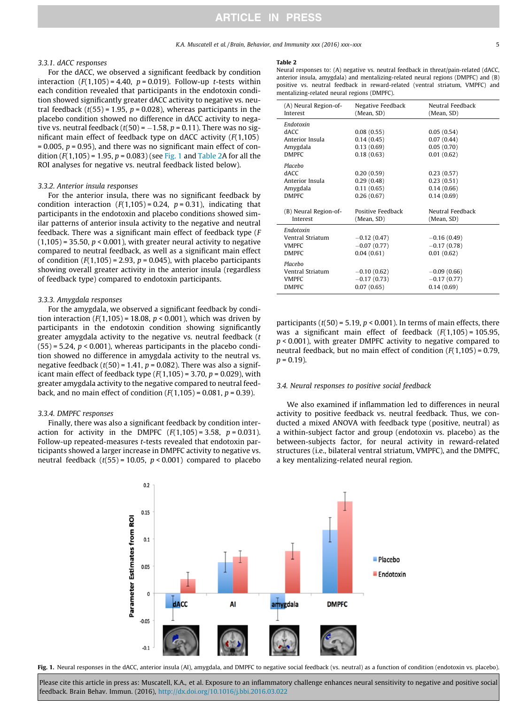#### 3.3.1. dACC responses

For the dACC, we observed a significant feedback by condition interaction  $(F(1,105) = 4.40, p = 0.019)$ . Follow-up *t*-tests within each condition revealed that participants in the endotoxin condition showed significantly greater dACC activity to negative vs. neutral feedback  $(t(55) = 1.95, p = 0.028)$ , whereas participants in the placebo condition showed no difference in dACC activity to negative vs. neutral feedback  $(t(50) = -1.58, p = 0.11)$ . There was no significant main effect of feedback type on dACC activity  $(F(1,105))$  $= 0.005$ ,  $p = 0.95$ ), and there was no significant main effect of condition  $(F(1,105) = 1.95, p = 0.083)$  (see Fig. 1 and Table 2A for all the ROI analyses for negative vs. neutral feedback listed below).

#### 3.3.2. Anterior insula responses

For the anterior insula, there was no significant feedback by condition interaction  $(F(1,105) = 0.24, p = 0.31)$ , indicating that participants in the endotoxin and placebo conditions showed similar patterns of anterior insula activity to the negative and neutral feedback. There was a significant main effect of feedback type (F  $(1,105)$  = 35.50,  $p < 0.001$ ), with greater neural activity to negative compared to neutral feedback, as well as a significant main effect of condition  $(F(1,105) = 2.93, p = 0.045)$ , with placebo participants showing overall greater activity in the anterior insula (regardless of feedback type) compared to endotoxin participants.

#### 3.3.3. Amygdala responses

For the amygdala, we observed a significant feedback by condition interaction  $(F(1,105) = 18.08, p < 0.001)$ , which was driven by participants in the endotoxin condition showing significantly greater amygdala activity to the negative vs. neutral feedback  $(t)$  $(55)$  = 5.24,  $p < 0.001$ ), whereas participants in the placebo condition showed no difference in amygdala activity to the neutral vs. negative feedback  $(t(50) = 1.41, p = 0.082)$ . There was also a significant main effect of feedback type  $(F(1,105) = 3.70, p = 0.029)$ , with greater amygdala activity to the negative compared to neutral feedback, and no main effect of condition  $(F(1,105) = 0.081, p = 0.39)$ .

## 3.3.4. DMPFC responses

Finally, there was also a significant feedback by condition interaction for activity in the DMPFC  $(F(1,105) = 3.58, p = 0.031)$ . Follow-up repeated-measures t-tests revealed that endotoxin participants showed a larger increase in DMPFC activity to negative vs. neutral feedback  $(t(55) = 10.05, p < 0.001)$  compared to placebo

#### Table 2

Neural responses to: (A) negative vs. neutral feedback in threat/pain-related (dACC, anterior insula, amygdala) and mentalizing-related neural regions (DMPFC) and (B) positive vs. neutral feedback in reward-related (ventral striatum, VMPFC) and mentalizing-related neural regions (DMPFC).

| (A) Neural Region-of-<br>Interest                                       | Negative Feedback<br>(Mean, SD)                      | Neutral Feedback<br>(Mean, SD)                       |
|-------------------------------------------------------------------------|------------------------------------------------------|------------------------------------------------------|
| Endotoxin<br><b>AACC</b><br>Anterior Insula<br>Amygdala<br><b>DMPFC</b> | 0.08(0.55)<br>0.14(0.45)<br>0.13(0.69)<br>0.18(0.63) | 0.05(0.54)<br>0.07(0.44)<br>0.05(0.70)<br>0.01(0.62) |
| Placebo<br>dACC<br>Anterior Insula<br>Amygdala<br><b>DMPFC</b>          | 0.20(0.59)<br>0.29(0.48)<br>0.11(0.65)<br>0.26(0.67) | 0.23(0.57)<br>0.23(0.51)<br>0.14(0.66)<br>0.14(0.69) |
| (B) Neural Region-of-<br>Interest                                       | Positive Feedback<br>(Mean, SD)                      | Neutral Feedback<br>(Mean, SD)                       |
| Endotoxin<br>Ventral Striatum<br><b>VMPFC</b><br><b>DMPFC</b>           | $-0.12(0.47)$<br>$-0.07(0.77)$<br>0.04(0.61)         | $-0.16(0.49)$<br>$-0.17(0.78)$<br>0.01(0.62)         |
| Placebo<br>Ventral Striatum<br><b>VMPFC</b><br><b>DMPFC</b>             | $-0.10(0.62)$<br>$-0.17(0.73)$<br>0.07(0.65)         | $-0.09(0.66)$<br>$-0.17(0.77)$<br>0.14(0.69)         |

participants ( $t(50)$  = 5.19,  $p < 0.001$ ). In terms of main effects, there was a significant main effect of feedback  $(F(1,105) = 105.95,$  $p$  < 0.001), with greater DMPFC activity to negative compared to neutral feedback, but no main effect of condition  $(F(1,105) = 0.79,$  $p = 0.19$ ).

### 3.4. Neural responses to positive social feedback

We also examined if inflammation led to differences in neural activity to positive feedback vs. neutral feedback. Thus, we conducted a mixed ANOVA with feedback type (positive, neutral) as a within-subject factor and group (endotoxin vs. placebo) as the between-subjects factor, for neural activity in reward-related structures (i.e., bilateral ventral striatum, VMPFC), and the DMPFC, a key mentalizing-related neural region.



Fig. 1. Neural responses in the dACC, anterior insula (AI), amygdala, and DMPFC to negative social feedback (vs. neutral) as a function of condition (endotoxin vs. placebo).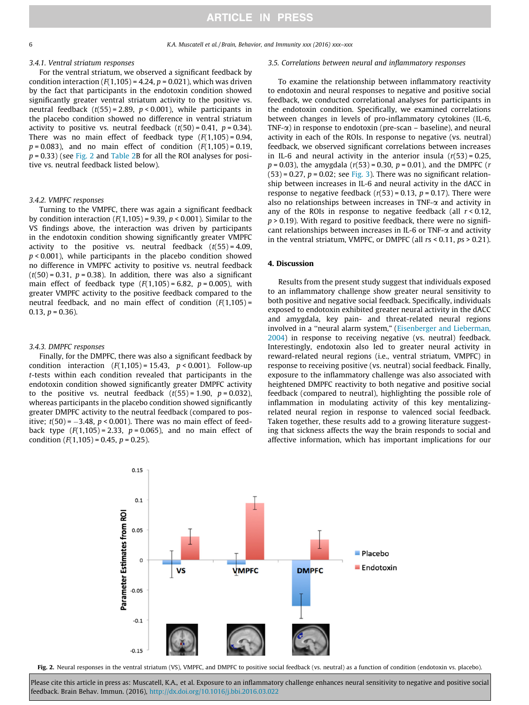#### 3.4.1. Ventral striatum responses

For the ventral striatum, we observed a significant feedback by condition interaction  $(F(1,105) = 4.24, p = 0.021)$ , which was driven by the fact that participants in the endotoxin condition showed significantly greater ventral striatum activity to the positive vs. neutral feedback  $(t(55) = 2.89, p < 0.001)$ , while participants in the placebo condition showed no difference in ventral striatum activity to positive vs. neutral feedback  $(t(50) = 0.41, p = 0.34)$ . There was no main effect of feedback type  $(F(1,105) = 0.94,$  $p = 0.083$ ), and no main effect of condition  $(F(1, 105) = 0.19)$ ,  $p = 0.33$ ) (see Fig. 2 and Table 2B for all the ROI analyses for positive vs. neutral feedback listed below).

#### 3.4.2. VMPFC responses

Turning to the VMPFC, there was again a significant feedback by condition interaction  $(F(1,105) = 9.39, p < 0.001)$ . Similar to the VS findings above, the interaction was driven by participants in the endotoxin condition showing significantly greater VMPFC activity to the positive vs. neutral feedback  $(t(55) = 4.09$ ,  $p < 0.001$ ), while participants in the placebo condition showed no difference in VMPFC activity to positive vs. neutral feedback  $(t(50) = 0.31, p = 0.38)$ . In addition, there was also a significant main effect of feedback type  $(F(1,105) = 6.82, p = 0.005)$ , with greater VMPFC activity to the positive feedback compared to the neutral feedback, and no main effect of condition  $(F(1,105))$  = 0.13,  $p = 0.36$ ).

#### 3.4.3. DMPFC responses

Finally, for the DMPFC, there was also a significant feedback by condition interaction  $(F(1,105) = 15.43, p < 0.001)$ . Follow-up t-tests within each condition revealed that participants in the endotoxin condition showed significantly greater DMPFC activity to the positive vs. neutral feedback  $(t(55) = 1.90, p = 0.032)$ , whereas participants in the placebo condition showed significantly greater DMPFC activity to the neutral feedback (compared to positive;  $t(50) = -3.48$ ,  $p < 0.001$ ). There was no main effect of feedback type  $(F(1, 105) = 2.33, p = 0.065)$ , and no main effect of condition  $(F(1,105) = 0.45, p = 0.25)$ .

#### 3.5. Correlations between neural and inflammatory responses

To examine the relationship between inflammatory reactivity to endotoxin and neural responses to negative and positive social feedback, we conducted correlational analyses for participants in the endotoxin condition. Specifically, we examined correlations between changes in levels of pro-inflammatory cytokines (IL-6, TNF- $\alpha$ ) in response to endotoxin (pre-scan – baseline), and neural activity in each of the ROIs. In response to negative (vs. neutral) feedback, we observed significant correlations between increases in IL-6 and neural activity in the anterior insula  $(r(53) = 0.25,$  $p = 0.03$ ), the amygdala ( $r(53) = 0.30$ ,  $p = 0.01$ ), and the DMPFC ( $r$  $(53) = 0.27$ ,  $p = 0.02$ ; see Fig. 3). There was no significant relationship between increases in IL-6 and neural activity in the dACC in response to negative feedback  $(r(53) = 0.13, p = 0.17)$ . There were also no relationships between increases in TNF- $\alpha$  and activity in any of the ROIs in response to negative feedback (all  $r < 0.12$ ,  $p > 0.19$ ). With regard to positive feedback, there were no significant relationships between increases in IL-6 or TNF- $\alpha$  and activity in the ventral striatum, VMPFC, or DMPFC (all  $rs < 0.11$ ,  $ps > 0.21$ ).

# 4. Discussion

Results from the present study suggest that individuals exposed to an inflammatory challenge show greater neural sensitivity to both positive and negative social feedback. Specifically, individuals exposed to endotoxin exhibited greater neural activity in the dACC and amygdala, key pain- and threat-related neural regions involved in a ''neural alarm system," (Eisenberger and Lieberman, 2004) in response to receiving negative (vs. neutral) feedback. Interestingly, endotoxin also led to greater neural activity in reward-related neural regions (i.e., ventral striatum, VMPFC) in response to receiving positive (vs. neutral) social feedback. Finally, exposure to the inflammatory challenge was also associated with heightened DMPFC reactivity to both negative and positive social feedback (compared to neutral), highlighting the possible role of inflammation in modulating activity of this key mentalizingrelated neural region in response to valenced social feedback. Taken together, these results add to a growing literature suggesting that sickness affects the way the brain responds to social and affective information, which has important implications for our



Fig. 2. Neural responses in the ventral striatum (VS), VMPFC, and DMPFC to positive social feedback (vs. neutral) as a function of condition (endotoxin vs. placebo).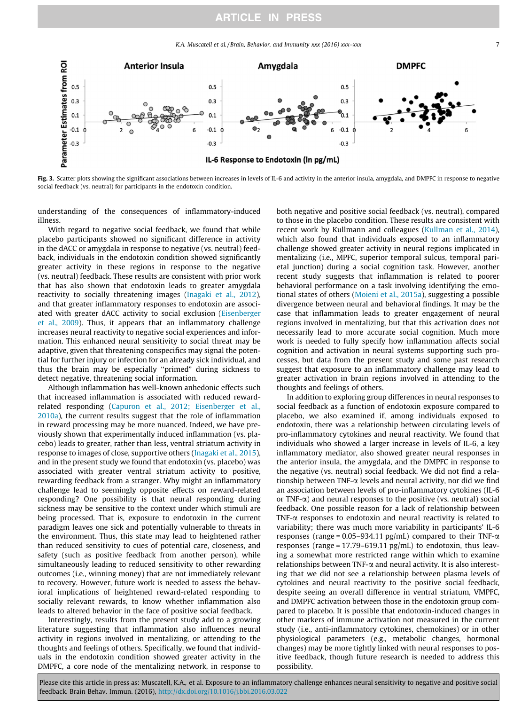K.A. Muscatell et al. / Brain, Behavior, and Immunity xxx (2016) xxx–xxx 7 7 7 7



Fig. 3. Scatter plots showing the significant associations between increases in levels of IL-6 and activity in the anterior insula, amygdala, and DMPFC in response to negative social feedback (vs. neutral) for participants in the endotoxin condition.

understanding of the consequences of inflammatory-induced illness.

With regard to negative social feedback, we found that while placebo participants showed no significant difference in activity in the dACC or amygdala in response to negative (vs. neutral) feedback, individuals in the endotoxin condition showed significantly greater activity in these regions in response to the negative (vs. neutral) feedback. These results are consistent with prior work that has also shown that endotoxin leads to greater amygdala reactivity to socially threatening images (Inagaki et al., 2012), and that greater inflammatory responses to endotoxin are associated with greater dACC activity to social exclusion (Eisenberger et al., 2009). Thus, it appears that an inflammatory challenge increases neural reactivity to negative social experiences and information. This enhanced neural sensitivity to social threat may be adaptive, given that threatening conspecifics may signal the potential for further injury or infection for an already sick individual, and thus the brain may be especially ''primed" during sickness to detect negative, threatening social information.

Although inflammation has well-known anhedonic effects such that increased inflammation is associated with reduced rewardrelated responding (Capuron et al., 2012; Eisenberger et al., 2010a), the current results suggest that the role of inflammation in reward processing may be more nuanced. Indeed, we have previously shown that experimentally induced inflammation (vs. placebo) leads to greater, rather than less, ventral striatum activity in response to images of close, supportive others (Inagaki et al., 2015), and in the present study we found that endotoxin (vs. placebo) was associated with greater ventral striatum activity to positive, rewarding feedback from a stranger. Why might an inflammatory challenge lead to seemingly opposite effects on reward-related responding? One possibility is that neural responding during sickness may be sensitive to the context under which stimuli are being processed. That is, exposure to endotoxin in the current paradigm leaves one sick and potentially vulnerable to threats in the environment. Thus, this state may lead to heightened rather than reduced sensitivity to cues of potential care, closeness, and safety (such as positive feedback from another person), while simultaneously leading to reduced sensitivity to other rewarding outcomes (i.e., winning money) that are not immediately relevant to recovery. However, future work is needed to assess the behavioral implications of heightened reward-related responding to socially relevant rewards, to know whether inflammation also leads to altered behavior in the face of positive social feedback.

Interestingly, results from the present study add to a growing literature suggesting that inflammation also influences neural activity in regions involved in mentalizing, or attending to the thoughts and feelings of others. Specifically, we found that individuals in the endotoxin condition showed greater activity in the DMPFC, a core node of the mentalizing network, in response to both negative and positive social feedback (vs. neutral), compared to those in the placebo condition. These results are consistent with recent work by Kullmann and colleagues (Kullman et al., 2014), which also found that individuals exposed to an inflammatory challenge showed greater activity in neural regions implicated in mentalizing (i.e., MPFC, superior temporal sulcus, temporal parietal junction) during a social cognition task. However, another recent study suggests that inflammation is related to poorer behavioral performance on a task involving identifying the emotional states of others (Moieni et al., 2015a), suggesting a possible divergence between neural and behavioral findings. It may be the case that inflammation leads to greater engagement of neural regions involved in mentalizing, but that this activation does not necessarily lead to more accurate social cognition. Much more work is needed to fully specify how inflammation affects social cognition and activation in neural systems supporting such processes, but data from the present study and some past research suggest that exposure to an inflammatory challenge may lead to greater activation in brain regions involved in attending to the thoughts and feelings of others.

In addition to exploring group differences in neural responses to social feedback as a function of endotoxin exposure compared to placebo, we also examined if, among individuals exposed to endotoxin, there was a relationship between circulating levels of pro-inflammatory cytokines and neural reactivity. We found that individuals who showed a larger increase in levels of IL-6, a key inflammatory mediator, also showed greater neural responses in the anterior insula, the amygdala, and the DMPFC in response to the negative (vs. neutral) social feedback. We did not find a relationship between TNF- $\alpha$  levels and neural activity, nor did we find an association between levels of pro-inflammatory cytokines (IL-6 or TNF- $\alpha$ ) and neural responses to the positive (vs. neutral) social feedback. One possible reason for a lack of relationship between  $TNF-\alpha$  responses to endotoxin and neural reactivity is related to variability; there was much more variability in participants' IL-6 responses (range = 0.05–934.11 pg/mL) compared to their TNF- $\alpha$ responses (range = 17.79–619.11 pg/mL) to endotoxin, thus leaving a somewhat more restricted range within which to examine  $relations$ hips between TNF- $\alpha$  and neural activity. It is also interesting that we did not see a relationship between plasma levels of cytokines and neural reactivity to the positive social feedback, despite seeing an overall difference in ventral striatum, VMPFC, and DMPFC activation between those in the endotoxin group compared to placebo. It is possible that endotoxin-induced changes in other markers of immune activation not measured in the current study (i.e., anti-inflammatory cytokines, chemokines) or in other physiological parameters (e.g., metabolic changes, hormonal changes) may be more tightly linked with neural responses to positive feedback, though future research is needed to address this possibility.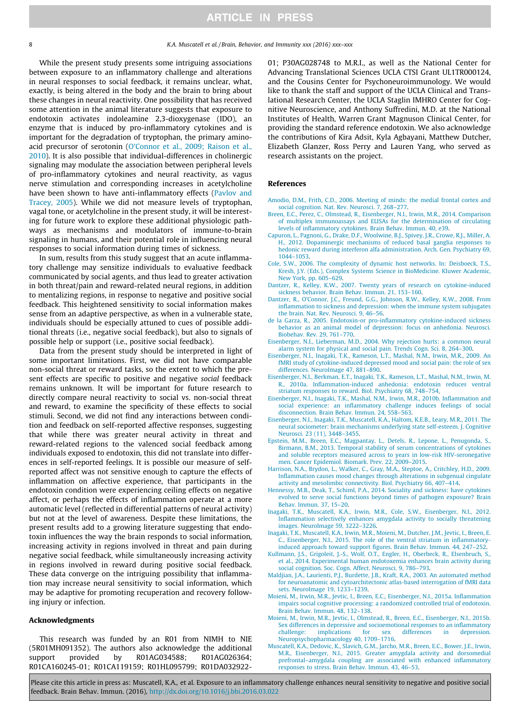While the present study presents some intriguing associations between exposure to an inflammatory challenge and alterations in neural responses to social feedback, it remains unclear, what, exactly, is being altered in the body and the brain to bring about these changes in neural reactivity. One possibility that has received some attention in the animal literature suggests that exposure to endotoxin activates indoleamine 2,3-dioxygenase (IDO), an enzyme that is induced by pro-inflammatory cytokines and is important for the degradation of tryptophan, the primary aminoacid precursor of serotonin (O'Connor et al., 2009; Raison et al., 2010). It is also possible that individual-differences in cholinergic signaling may modulate the association between peripheral levels of pro-inflammatory cytokines and neural reactivity, as vagus nerve stimulation and corresponding increases in acetylcholine have been shown to have anti-inflammatory effects (Pavlov and Tracey, 2005). While we did not measure levels of tryptophan, vagal tone, or acetylcholine in the present study, it will be interesting for future work to explore these additional physiologic pathways as mechanisms and modulators of immune-to-brain signaling in humans, and their potential role in influencing neural responses to social information during times of sickness.

In sum, results from this study suggest that an acute inflammatory challenge may sensitize individuals to evaluative feedback communicated by social agents, and thus lead to greater activation in both threat/pain and reward-related neural regions, in addition to mentalizing regions, in response to negative and positive social feedback. This heightened sensitivity to social information makes sense from an adaptive perspective, as when in a vulnerable state, individuals should be especially attuned to cues of possible additional threats (i.e., negative social feedback), but also to signals of possible help or support (i.e., positive social feedback).

Data from the present study should be interpreted in light of some important limitations. First, we did not have comparable non-social threat or reward tasks, so the extent to which the present effects are specific to positive and negative social feedback remains unknown. It will be important for future research to directly compare neural reactivity to social vs. non-social threat and reward, to examine the specificity of these effects to social stimuli. Second, we did not find any interactions between condition and feedback on self-reported affective responses, suggesting that while there was greater neural activity in threat and reward-related regions to the valenced social feedback among individuals exposed to endotoxin, this did not translate into differences in self-reported feelings. It is possible our measure of selfreported affect was not sensitive enough to capture the effects of inflammation on affective experience, that participants in the endotoxin condition were experiencing ceiling effects on negative affect, or perhaps the effects of inflammation operate at a more automatic level (reflected in differential patterns of neural activity) but not at the level of awareness. Despite these limitations, the present results add to a growing literature suggesting that endotoxin influences the way the brain responds to social information, increasing activity in regions involved in threat and pain during negative social feedback, while simultaneously increasing activity in regions involved in reward during positive social feedback. These data converge on the intriguing possibility that inflammation may increase neural sensitivity to social information, which may be adaptive for promoting recuperation and recovery following injury or infection.

## Acknowledgments

This research was funded by an R01 from NIMH to NIE (5R01MH091352). The authors also acknowledge the additional support provided by R01AG034588; R01AG026364; R01CA160245-01; R01CA119159; R01HL095799; R01DA03292201; P30AG028748 to M.R.I., as well as the National Center for Advancing Translational Sciences UCLA CTSI Grant UL1TR000124, and the Cousins Center for Psychoneuroimmunology. We would like to thank the staff and support of the UCLA Clinical and Translational Research Center, the UCLA Staglin IMHRO Center for Cognitive Neuroscience, and Anthony Suffredini, M.D. at the National Institutes of Health, Warren Grant Magnuson Clinical Center, for providing the standard reference endotoxin. We also acknowledge the contributions of Kira Adsit, Kyla Agbayani, Matthew Dutcher, Elizabeth Glanzer, Ross Perry and Lauren Yang, who served as research assistants on the project.

#### References

- Amodio, D.M., Frith, C.D., 2006. Meeting of minds: the medial frontal cortex and social cognition. Nat. Rev. Neurosci. 7, 268–277.
- Breen, E.C., Perez, C., Olmstead, R., Eisenberger, N.I., Irwin, M.R., 2014. Comparison of multiplex immunoassays and ELISAs for the determination of circulating levels of inflammatory cytokines. Brain Behav. Immun. 40, e39.
- Capuron, L., Pagnoni, G., Drake, D.F., Woolwine, B.J., Spivey, J.R., Crowe, R.J., Miller, A. H., 2012. Dopaminergic mechanisms of reduced basal ganglia responses to hedonic reward during interferon alfa administration. Arch. Gen. Psychiatry 69, 1044–1053.
- Cole, S.W., 2006. The complexity of dynamic host networks. In: Deisboeck, T.S., Kresh, J.Y. (Eds.), Complex Systems Science in BioMedicine. Kluwer Academic, New York, pp. 605–629.
- Dantzer, R., Kelley, K.W., 2007. Twenty years of research on cytokine-induced sickness behavior. Brain Behav. Immun. 21, 153–160.
- Dantzer, R., O'Connor, J.C., Freund, G.G., Johnson, R.W., Kelley, K.W., 2008. From inflammation to sickness and depression: when the immune system subjugates the brain. Nat. Rev. Neurosci. 9, 46–56.
- de la Garza, R., 2005. Endotoxin-or pro-inflammatory cytokine-induced sickness behavior as an animal model of depression: focus on anhedonia. Neurosci. Biobehav. Rev. 29, 761–770.
- Eisenberger, N.I., Lieberman, M.D., 2004. Why rejection hurts: a common neural alarm system for physical and social pain. Trends Cogn. Sci. 8, 264–300.
- Eisenberger, N.I., Inagaki, T.K., Rameson, L.T., Mashal, N.M., Irwin, M.R., 2009. An fMRI study of cytokine-induced depressed mood and social pain: the role of sex differences. NeuroImage 47, 881–890.
- Eisenberger, N.I., Berkman, E.T., Inagaki, T.K., Rameson, L.T., Mashal, N.M., Irwin, M. R., 2010a. Inflammation-induced anhedonia: endotoxin reduces ventral striatum responses to reward. Biol. Psychiatry 68, 748–754.
- Eisenberger, N.I., Inagaki, T.K., Mashal, N.M., Irwin, M.R., 2010b. Inflammation and social experience: an inflammatory challenge induces feelings of social disconnection. Brain Behav. Immun. 24, 558–563.
- Eisenberger, N.I., Inagaki, T.K., Muscatell, K.A., Haltom, K.E.B., Leary, M.R., 2011. The neural sociometer: brain mechanisms underlying state self-esteem. J. Cognitive Neurosci. 23 (11), 3448–3455.
- Epstein, M.M., Breen, E.C., Magpantay, L., Detels, R., Lepone, L., Penugonda, S., Birmann, B.M., 2013. Temporal stability of serum concentrations of cytokines and soluble receptors measured across to years in low-risk HIV-seronegative men. Cancer Epidemiol. Biomark. Prev. 22, 2009–2015.
- Harrison, N.A., Brydon, L., Walker, C., Gray, M.A., Steptoe, A., Critchley, H.D., 2009. Inflammation causes mood changes through alterations in subgenual cingulate activity and mesolimbic connectivity. Biol. Psychiatry 66, 407–414.
- Hennessy, M.B., Deak, T., Schiml, P.A., 2014. Sociality and sickness: have cytokines evolved to serve social functions beyond times of pathogen exposure? Brain Behav. Immun. 37, 15–20.
- Inagaki, T.K., Muscatell, K.A., Irwin, M.R., Cole, S.W., Eisenberger, N.I., 2012. Inflammation selectively enhances amygdala activity to socially threatening images. NeuroImage 59, 3222–3226.
- Inagaki, T.K., Muscatell, K.A., Irwin, M.R., Moieni, M., Dutcher, J.M., Jevtic, I., Breen, E. C., Eisenberger, N.I., 2015. The role of the ventral striatum in inflammatoryinduced approach toward support figures. Brain Behav. Immun. 44, 247–252.
- Kullmann, J.S., Grigoleit, J.-S., Wolf, O.T., Engler, H., Oberbeck, R., Elsenbruch, S., et al., 2014. Experimental human endotoxemia enhances brain activity during social cognition. Soc. Cogn. Affect. Neurosci. 9, 786–793.
- Maldjian, J.A., Laurienti, P.J., Burdette, J.B., Kraft, R.A., 2003. An automated method for neuroanatomic and cytoarchitectonic atlas-based interrogation of fMRI data sets. NeuroImage 19, 1233–1239.
- Moieni, M., Irwin, M.R., Jevtic, I., Breen, E.C., Eisenberger, N.I., 2015a. Inflammation impairs social cognitive processing: a randomized controlled trial of endotoxin. Brain Behav. Immun. 48, 132–138.
- Moieni, M., Irwin, M.R., Jevtic, I., Olmstead, R., Breen, E.C., Eisenberger, N.I., 2015b. Sex differences in depressive and socioemotional responses to an inflammatory<br>challenge: implications for sex differences in depression. challenge: implications for sex differences in depression. Neuropsychopharmacology 40, 1709–1716.
- Muscatell, K.A., Dedovic, K., Slavich, G.M., Jarcho, M.R., Breen, E.C., Bower, J.E., Irwin, M.R., Eisenberger, N.I., 2015. Greater amygdala activity and dorsomedial prefrontal–amygdala coupling are associated with enhanced inflammatory responses to stress. Brain Behav. Immun. 43, 46–53.